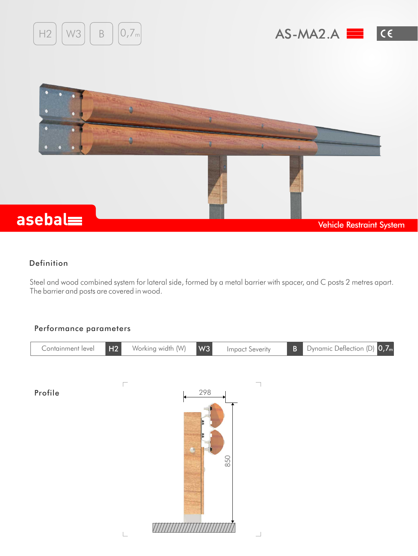





## Definition

Steel and wood combined system for lateral side, formed by a metal barrier with spacer, and C posts 2 metres apart. The barrier and posts are covered in wood.

## Performance parameters